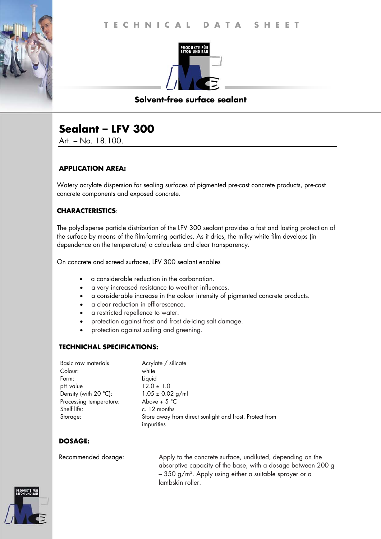

## **Solvent-free surface sealant**

# **Sealant – LFV 300**

Art. – No. 18.100.

## **APPLICATION AREA:**

Watery acrylate dispersion for sealing surfaces of pigmented pre-cast concrete products, pre-cast concrete components and exposed concrete.

## **CHARACTERISTICS**:

The polydisperse particle distribution of the LFV 300 sealant provides a fast and lasting protection of the surface by means of the film-forming particles. As it dries, the milky white film develops (in dependence on the temperature) a colourless and clear transparency.

On concrete and screed surfaces, LFV 300 sealant enables

- a considerable reduction in the carbonation.
- a very increased resistance to weather influences.
- a considerable increase in the colour intensity of pigmented concrete products.
- a clear reduction in efflorescence.
- a restricted repellence to water.
- protection against frost and frost de-icing salt damage.
- protection against soiling and greening.

## **TECHNICHAL SPECIFICATIONS:**

| Basic raw materials            | Acrylate / silicate                                     |
|--------------------------------|---------------------------------------------------------|
| Colour:                        | white                                                   |
| Form:                          | Liquid                                                  |
| pH value                       | $12.0 \pm 1.0$                                          |
| Density (with $20^{\circ}$ C): | $1.05 \pm 0.02$ g/ml                                    |
| Processing temperature:        | Above + $5^{\circ}$ C                                   |
| Shelf life:                    | c. 12 months                                            |
| Storage:                       | Store away from direct sunlight and frost. Protect from |
|                                | impurities                                              |

## **DOSAGE:**

Recommended dosage: Apply to the concrete surface, undiluted, depending on the absorptive capacity of the base, with a dosage between 200 g – 350 g/m². Apply using either a suitable sprayer or a lambskin roller.